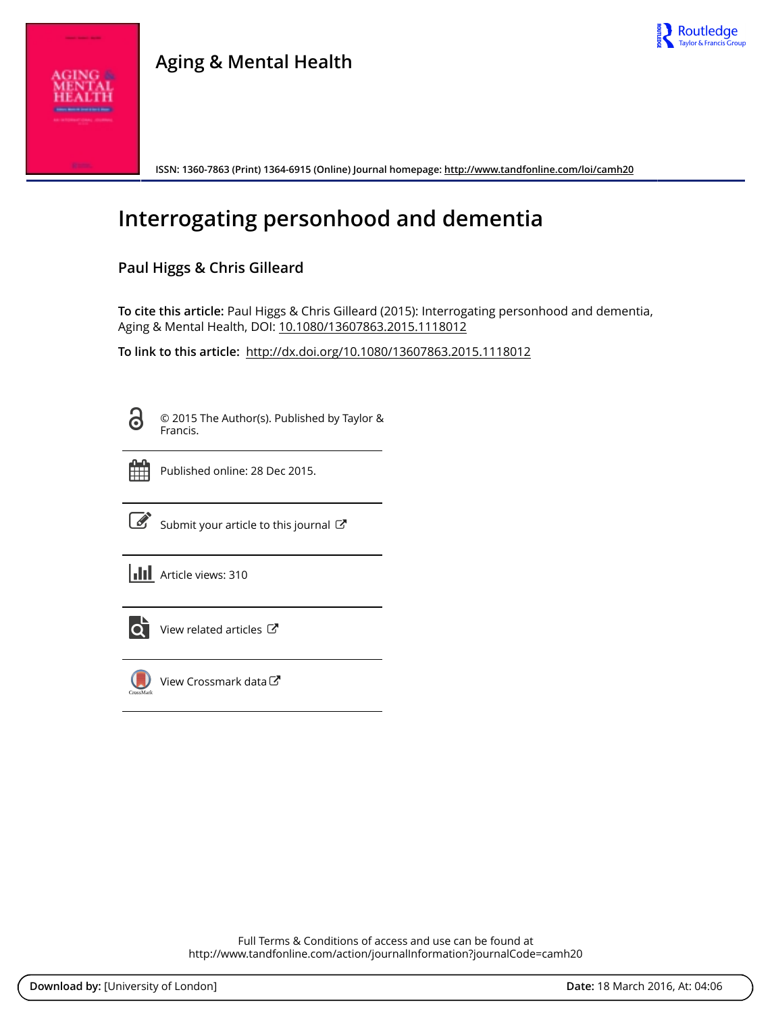

## **Aging & Mental Health**

**ISSN: 1360-7863 (Print) 1364-6915 (Online) Journal homepage:<http://www.tandfonline.com/loi/camh20>**

# **Interrogating personhood and dementia**

## **Paul Higgs & Chris Gilleard**

**To cite this article:** Paul Higgs & Chris Gilleard (2015): Interrogating personhood and dementia, Aging & Mental Health, DOI: [10.1080/13607863.2015.1118012](http://www.tandfonline.com/action/showCitFormats?doi=10.1080/13607863.2015.1118012)

**To link to this article:** <http://dx.doi.org/10.1080/13607863.2015.1118012>

ခြ

© 2015 The Author(s). Published by Taylor & Francis.



Published online: 28 Dec 2015.

[Submit your article to this journal](http://www.tandfonline.com/action/authorSubmission?journalCode=camh20&page=instructions)  $\mathbb{Z}$ 



[View related articles](http://www.tandfonline.com/doi/mlt/10.1080/13607863.2015.1118012) C



[View Crossmark data](http://crossmark.crossref.org/dialog/?doi=10.1080/13607863.2015.1118012&domain=pdf&date_stamp=2015-12-28)

Full Terms & Conditions of access and use can be found at <http://www.tandfonline.com/action/journalInformation?journalCode=camh20>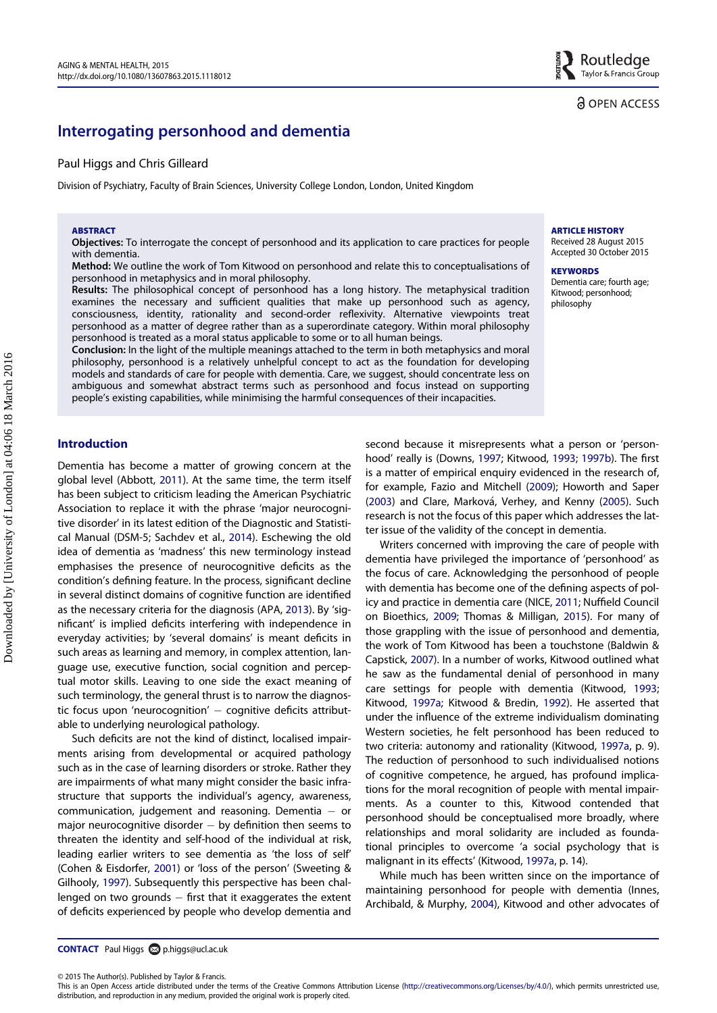### Interrogating personhood and dementia

#### Paul Higgs and Chris Gilleard

Division of Psychiatry, Faculty of Brain Sciences, University College London, London, United Kingdom

#### **ABSTRACT**

Objectives: To interrogate the concept of personhood and its application to care practices for people with dementia.

Method: We outline the work of Tom Kitwood on personhood and relate this to conceptualisations of personhood in metaphysics and in moral philosophy.

Results: The philosophical concept of personhood has a long history. The metaphysical tradition examines the necessary and sufficient qualities that make up personhood such as agency, consciousness, identity, rationality and second-order reflexivity. Alternative viewpoints treat personhood as a matter of degree rather than as a superordinate category. Within moral philosophy personhood is treated as a moral status applicable to some or to all human beings.

Conclusion: In the light of the multiple meanings attached to the term in both metaphysics and moral philosophy, personhood is a relatively unhelpful concept to act as the foundation for developing models and standards of care for people with dementia. Care, we suggest, should concentrate less on ambiguous and somewhat abstract terms such as personhood and focus instead on supporting people's existing capabilities, while minimising the harmful consequences of their incapacities.

#### Introduction

<span id="page-1-13"></span><span id="page-1-11"></span><span id="page-1-6"></span><span id="page-1-5"></span><span id="page-1-3"></span><span id="page-1-0"></span>Dementia has become a matter of growing concern at the global level (Abbott, [2011\)](#page-7-0). At the same time, the term itself has been subject to criticism leading the American Psychiatric Association to replace it with the phrase 'major neurocognitive disorder' in its latest edition of the Diagnostic and Statistical Manual (DSM-5; Sachdev et al., [2014](#page-8-0)). Eschewing the old idea of dementia as 'madness' this new terminology instead emphasises the presence of neurocognitive deficits as the condition's defining feature. In the process, significant decline in several distinct domains of cognitive function are identified as the necessary criteria for the diagnosis (APA, [2013\)](#page-7-1). By 'significant' is implied deficits interfering with independence in everyday activities; by 'several domains' is meant deficits in such areas as learning and memory, in complex attention, language use, executive function, social cognition and perceptual motor skills. Leaving to one side the exact meaning of such terminology, the general thrust is to narrow the diagnostic focus upon 'neurocognition'  $-$  cognitive deficits attributable to underlying neurological pathology.

<span id="page-1-12"></span><span id="page-1-10"></span><span id="page-1-8"></span><span id="page-1-2"></span><span id="page-1-1"></span>Such deficits are not the kind of distinct, localised impairments arising from developmental or acquired pathology such as in the case of learning disorders or stroke. Rather they are impairments of what many might consider the basic infrastructure that supports the individual's agency, awareness, communication, judgement and reasoning. Dementia  $-$  or major neurocognitive disorder  $-$  by definition then seems to threaten the identity and self-hood of the individual at risk, leading earlier writers to see dementia as 'the loss of self' (Cohen & Eisdorfer, [2001](#page-7-2)) or 'loss of the person' (Sweeting & Gilhooly, [1997](#page-8-1)). Subsequently this perspective has been challenged on two grounds  $-$  first that it exaggerates the extent of deficits experienced by people who develop dementia and

second because it misrepresents what a person or 'personhood' really is (Downs, [1997](#page-7-3); Kitwood, [1993](#page-7-4); [1997b\)](#page-7-5). The first is a matter of empirical enquiry evidenced in the research of. for example, Fazio and Mitchell ([2009\)](#page-7-6); Howorth and Saper [\(2003\)](#page-7-7) and Clare, Marková, Verhey, and Kenny [\(2005\)](#page-7-8). Such research is not the focus of this paper which addresses the latter issue of the validity of the concept in dementia.

Writers concerned with improving the care of people with dementia have privileged the importance of 'personhood' as the focus of care. Acknowledging the personhood of people with dementia has become one of the defining aspects of policy and practice in dementia care (NICE, [2011](#page-7-9); Nuffield Council on Bioethics, [2009](#page-7-10); Thomas & Milligan, [2015](#page-8-2)). For many of those grappling with the issue of personhood and dementia, the work of Tom Kitwood has been a touchstone (Baldwin & Capstick, [2007](#page-7-11)). In a number of works, Kitwood outlined what he saw as the fundamental denial of personhood in many care settings for people with dementia (Kitwood, [1993;](#page-7-4) Kitwood, [1997a](#page-7-12); Kitwood & Bredin, [1992\)](#page-7-13). He asserted that under the influence of the extreme individualism dominating Western societies, he felt personhood has been reduced to two criteria: autonomy and rationality (Kitwood, [1997a,](#page-7-12) p. 9). The reduction of personhood to such individualised notions of cognitive competence, he argued, has profound implications for the moral recognition of people with mental impairments. As a counter to this, Kitwood contended that personhood should be conceptualised more broadly, where relationships and moral solidarity are included as foundational principles to overcome 'a social psychology that is malignant in its effects' (Kitwood, [1997a](#page-7-12), p. 14).

While much has been written since on the importance of maintaining personhood for people with dementia (Innes, Archibald, & Murphy, [2004](#page-7-14)), Kitwood and other advocates of

<span id="page-1-14"></span><span id="page-1-9"></span><span id="page-1-7"></span><span id="page-1-4"></span>© 2015 The Author(s). Published by Taylor & Francis.

#### **KEYWORDS**

Dementia care; fourth age; Kitwood; personhood; philosophy

<u>ခါ</u> OPEN ACCESS

This is an Open Access article distributed under the terms of the Creative Commons Attribution License (<http://creativecommons.org/Licenses/by/4.0/>), which permits unrestricted use, distribution, and reproduction in any medium, provided the original work is properly cited.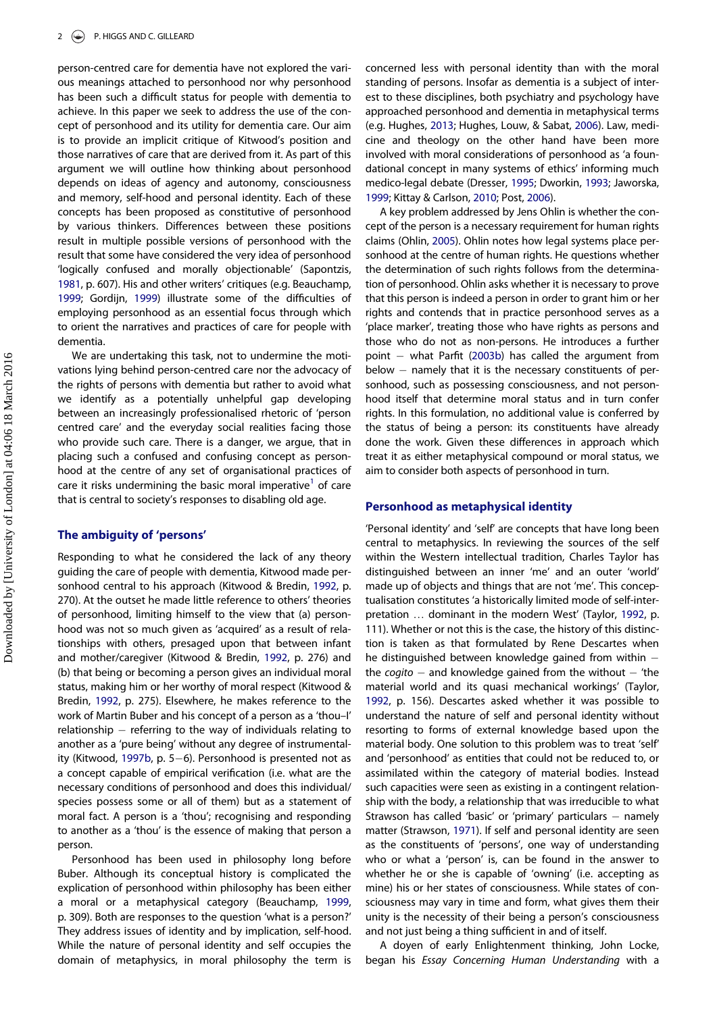<span id="page-2-4"></span><span id="page-2-3"></span><span id="page-2-1"></span>person-centred care for dementia have not explored the various meanings attached to personhood nor why personhood has been such a difficult status for people with dementia to achieve. In this paper we seek to address the use of the concept of personhood and its utility for dementia care. Our aim is to provide an implicit critique of Kitwood's position and those narratives of care that are derived from it. As part of this argument we will outline how thinking about personhood depends on ideas of agency and autonomy, consciousness and memory, self-hood and personal identity. Each of these concepts has been proposed as constitutive of personhood by various thinkers. Differences between these positions result in multiple possible versions of personhood with the result that some have considered the very idea of personhood 'logically confused and morally objectionable' (Sapontzis, [1981](#page-8-3), p. 607). His and other writers' critiques (e.g. Beauchamp, [1999](#page-7-15); Gordijn, [1999\)](#page-7-16) illustrate some of the difficulties of employing personhood as an essential focus through which to orient the narratives and practices of care for people with dementia.

<span id="page-2-7"></span><span id="page-2-6"></span><span id="page-2-5"></span><span id="page-2-2"></span>We are undertaking this task, not to undermine the motivations lying behind person-centred care nor the advocacy of the rights of persons with dementia but rather to avoid what we identify as a potentially unhelpful gap developing between an increasingly professionalised rhetoric of 'person centred care' and the everyday social realities facing those who provide such care. There is a danger, we argue, that in placing such a confused and confusing concept as personhood at the centre of any set of organisational practices of care it risks undermining the basic moral imperative<sup>[1](#page-6-0)</sup> of care that is central to society's responses to disabling old age.

#### The ambiguity of 'persons'

<span id="page-2-9"></span>Responding to what he considered the lack of any theory guiding the care of people with dementia, Kitwood made personhood central to his approach (Kitwood & Bredin, [1992](#page-7-13), p. 270). At the outset he made little reference to others' theories of personhood, limiting himself to the view that (a) personhood was not so much given as 'acquired' as a result of relationships with others, presaged upon that between infant and mother/caregiver (Kitwood & Bredin, [1992,](#page-7-13) p. 276) and (b) that being or becoming a person gives an individual moral status, making him or her worthy of moral respect (Kitwood & Bredin, [1992](#page-7-13), p. 275). Elsewhere, he makes reference to the work of Martin Buber and his concept of a person as a 'thou–I' relationship  $-$  referring to the way of individuals relating to another as a 'pure being' without any degree of instrumental-ity (Kitwood, [1997b](#page-7-5), p. 5-6). Personhood is presented not as a concept capable of empirical verification (i.e. what are the necessary conditions of personhood and does this individual/ species possess some or all of them) but as a statement of moral fact. A person is a 'thou'; recognising and responding to another as a 'thou' is the essence of making that person a person.

<span id="page-2-8"></span><span id="page-2-0"></span>Personhood has been used in philosophy long before Buber. Although its conceptual history is complicated the explication of personhood within philosophy has been either a moral or a metaphysical category (Beauchamp, [1999,](#page-7-15) p. 309). Both are responses to the question 'what is a person?' They address issues of identity and by implication, self-hood. While the nature of personal identity and self occupies the domain of metaphysics, in moral philosophy the term is

concerned less with personal identity than with the moral standing of persons. Insofar as dementia is a subject of interest to these disciplines, both psychiatry and psychology have approached personhood and dementia in metaphysical terms (e.g. Hughes, [2013;](#page-7-17) Hughes, Louw, & Sabat, [2006\)](#page-7-18). Law, medicine and theology on the other hand have been more involved with moral considerations of personhood as 'a foundational concept in many systems of ethics' informing much medico-legal debate (Dresser, [1995;](#page-7-19) Dworkin, [1993](#page-7-20); Jaworska, [1999;](#page-7-21) Kittay & Carlson, [2010](#page-7-22); Post, [2006\)](#page-7-23).

A key problem addressed by Jens Ohlin is whether the concept of the person is a necessary requirement for human rights claims (Ohlin, [2005](#page-7-24)). Ohlin notes how legal systems place personhood at the centre of human rights. He questions whether the determination of such rights follows from the determination of personhood. Ohlin asks whether it is necessary to prove that this person is indeed a person in order to grant him or her rights and contends that in practice personhood serves as a 'place marker', treating those who have rights as persons and those who do not as non-persons. He introduces a further point  $-$  what Parfit ([2003b](#page-7-25)) has called the argument from below  $-$  namely that it is the necessary constituents of personhood, such as possessing consciousness, and not personhood itself that determine moral status and in turn confer rights. In this formulation, no additional value is conferred by the status of being a person: its constituents have already done the work. Given these differences in approach which treat it as either metaphysical compound or moral status, we aim to consider both aspects of personhood in turn.

#### Personhood as metaphysical identity

'Personal identity' and 'self' are concepts that have long been central to metaphysics. In reviewing the sources of the self within the Western intellectual tradition, Charles Taylor has distinguished between an inner 'me' and an outer 'world' made up of objects and things that are not 'me'. This conceptualisation constitutes 'a historically limited mode of self-interpretation … dominant in the modern West' (Taylor, [1992](#page-8-4), p. 111). Whether or not this is the case, the history of this distinction is taken as that formulated by Rene Descartes when he distinguished between knowledge gained from within the *cogito*  $-$  and knowledge gained from the without  $-$  'the material world and its quasi mechanical workings' (Taylor, [1992,](#page-8-4) p. 156). Descartes asked whether it was possible to understand the nature of self and personal identity without resorting to forms of external knowledge based upon the material body. One solution to this problem was to treat 'self' and 'personhood' as entities that could not be reduced to, or assimilated within the category of material bodies. Instead such capacities were seen as existing in a contingent relationship with the body, a relationship that was irreducible to what Strawson has called 'basic' or 'primary' particulars  $-$  namely matter (Strawson, [1971](#page-8-5)). If self and personal identity are seen as the constituents of 'persons', one way of understanding who or what a 'person' is, can be found in the answer to whether he or she is capable of 'owning' (i.e. accepting as mine) his or her states of consciousness. While states of consciousness may vary in time and form, what gives them their unity is the necessity of their being a person's consciousness and not just being a thing sufficient in and of itself.

A doyen of early Enlightenment thinking, John Locke, began his Essay Concerning Human Understanding with a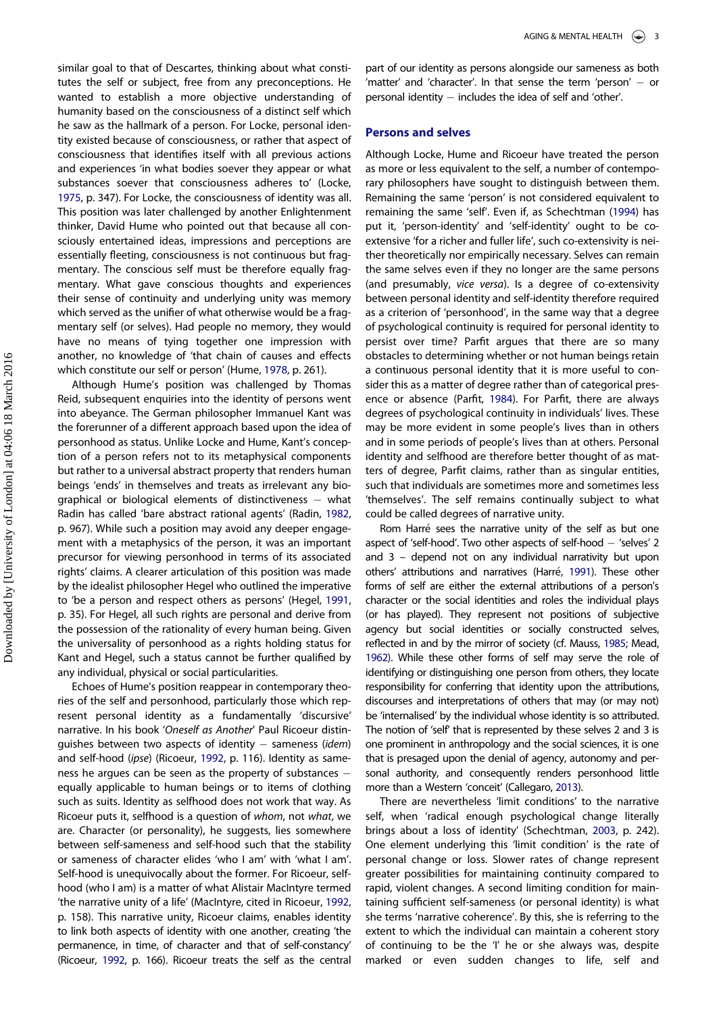<span id="page-3-9"></span><span id="page-3-4"></span>similar goal to that of Descartes, thinking about what constitutes the self or subject, free from any preconceptions. He wanted to establish a more objective understanding of humanity based on the consciousness of a distinct self which he saw as the hallmark of a person. For Locke, personal identity existed because of consciousness, or rather that aspect of consciousness that identifies itself with all previous actions and experiences 'in what bodies soever they appear or what substances soever that consciousness adheres to' (Locke, [1975](#page-7-26), p. 347). For Locke, the consciousness of identity was all. This position was later challenged by another Enlightenment thinker, David Hume who pointed out that because all consciously entertained ideas, impressions and perceptions are essentially fleeting, consciousness is not continuous but fragmentary. The conscious self must be therefore equally fragmentary. What gave conscious thoughts and experiences their sense of continuity and underlying unity was memory which served as the unifier of what otherwise would be a fragmentary self (or selves). Had people no memory, they would have no means of tying together one impression with another, no knowledge of 'that chain of causes and effects which constitute our self or person' (Hume, [1978,](#page-7-27) p. 261).

<span id="page-3-7"></span><span id="page-3-6"></span><span id="page-3-3"></span>Although Hume's position was challenged by Thomas Reid, subsequent enquiries into the identity of persons went into abeyance. The German philosopher Immanuel Kant was the forerunner of a different approach based upon the idea of personhood as status. Unlike Locke and Hume, Kant's conception of a person refers not to its metaphysical components but rather to a universal abstract property that renders human beings 'ends' in themselves and treats as irrelevant any biographical or biological elements of distinctiveness  $-$  what Radin has called 'bare abstract rational agents' (Radin, [1982,](#page-7-28) p. 967). While such a position may avoid any deeper engagement with a metaphysics of the person, it was an important precursor for viewing personhood in terms of its associated rights' claims. A clearer articulation of this position was made by the idealist philosopher Hegel who outlined the imperative to 'be a person and respect others as persons' (Hegel, [1991,](#page-7-29) p. 35). For Hegel, all such rights are personal and derive from the possession of the rationality of every human being. Given the universality of personhood as a rights holding status for Kant and Hegel, such a status cannot be further qualified by any individual, physical or social particularities.

<span id="page-3-10"></span><span id="page-3-8"></span><span id="page-3-5"></span><span id="page-3-2"></span><span id="page-3-1"></span><span id="page-3-0"></span>Echoes of Hume's position reappear in contemporary theories of the self and personhood, particularly those which represent personal identity as a fundamentally 'discursive' narrative. In his book 'Oneself as Another' Paul Ricoeur distinquishes between two aspects of identity  $-$  sameness (idem) and self-hood (ipse) (Ricoeur, [1992,](#page-7-30) p. 116). Identity as sameness he argues can be seen as the property of substances equally applicable to human beings or to items of clothing such as suits. Identity as selfhood does not work that way. As Ricoeur puts it, selfhood is a question of whom, not what, we are. Character (or personality), he suggests, lies somewhere between self-sameness and self-hood such that the stability or sameness of character elides 'who I am' with 'what I am'. Self-hood is unequivocally about the former. For Ricoeur, selfhood (who I am) is a matter of what Alistair MacIntyre termed 'the narrative unity of a life' (MacIntyre, cited in Ricoeur, [1992,](#page-7-30) p. 158). This narrative unity, Ricoeur claims, enables identity to link both aspects of identity with one another, creating 'the permanence, in time, of character and that of self-constancy' (Ricoeur, [1992,](#page-7-30) p. 166). Ricoeur treats the self as the central part of our identity as persons alongside our sameness as both 'matter' and 'character'. In that sense the term 'person'  $-$  or personal identity  $-$  includes the idea of self and 'other'.

#### Persons and selves

Although Locke, Hume and Ricoeur have treated the person as more or less equivalent to the self, a number of contemporary philosophers have sought to distinguish between them. Remaining the same 'person' is not considered equivalent to remaining the same 'self'. Even if, as Schechtman ([1994\)](#page-8-6) has put it, 'person-identity' and 'self-identity' ought to be coextensive 'for a richer and fuller life', such co-extensivity is neither theoretically nor empirically necessary. Selves can remain the same selves even if they no longer are the same persons (and presumably, vice versa). Is a degree of co-extensivity between personal identity and self-identity therefore required as a criterion of 'personhood', in the same way that a degree of psychological continuity is required for personal identity to persist over time? Parfit argues that there are so many obstacles to determining whether or not human beings retain a continuous personal identity that it is more useful to consider this as a matter of degree rather than of categorical presence or absence (Parfit, [1984\)](#page-7-31). For Parfit, there are always degrees of psychological continuity in individuals' lives. These may be more evident in some people's lives than in others and in some periods of people's lives than at others. Personal identity and selfhood are therefore better thought of as matters of degree, Parfit claims, rather than as singular entities, such that individuals are sometimes more and sometimes less 'themselves'. The self remains continually subject to what could be called degrees of narrative unity.

Rom Harré sees the narrative unity of the self as but one aspect of 'self-hood'. Two other aspects of self-hood  $-$  'selves' 2 and 3 – depend not on any individual narrativity but upon others' attributions and narratives (Harré, [1991](#page-7-32)). These other forms of self are either the external attributions of a person's character or the social identities and roles the individual plays (or has played). They represent not positions of subjective agency but social identities or socially constructed selves, reflected in and by the mirror of society (cf. Mauss, [1985;](#page-7-33) Mead, [1962](#page-7-34)). While these other forms of self may serve the role of identifying or distinguishing one person from others, they locate responsibility for conferring that identity upon the attributions, discourses and interpretations of others that may (or may not) be 'internalised' by the individual whose identity is so attributed. The notion of 'self' that is represented by these selves 2 and 3 is one prominent in anthropology and the social sciences, it is one that is presaged upon the denial of agency, autonomy and personal authority, and consequently renders personhood little more than a Western 'conceit' (Callegaro, [2013\)](#page-7-35).

There are nevertheless 'limit conditions' to the narrative self, when 'radical enough psychological change literally brings about a loss of identity' (Schechtman, [2003](#page-8-7), p. 242). One element underlying this 'limit condition' is the rate of personal change or loss. Slower rates of change represent greater possibilities for maintaining continuity compared to rapid, violent changes. A second limiting condition for maintaining sufficient self-sameness (or personal identity) is what she terms 'narrative coherence'. By this, she is referring to the extent to which the individual can maintain a coherent story of continuing to be the 'I' he or she always was, despite marked or even sudden changes to life, self and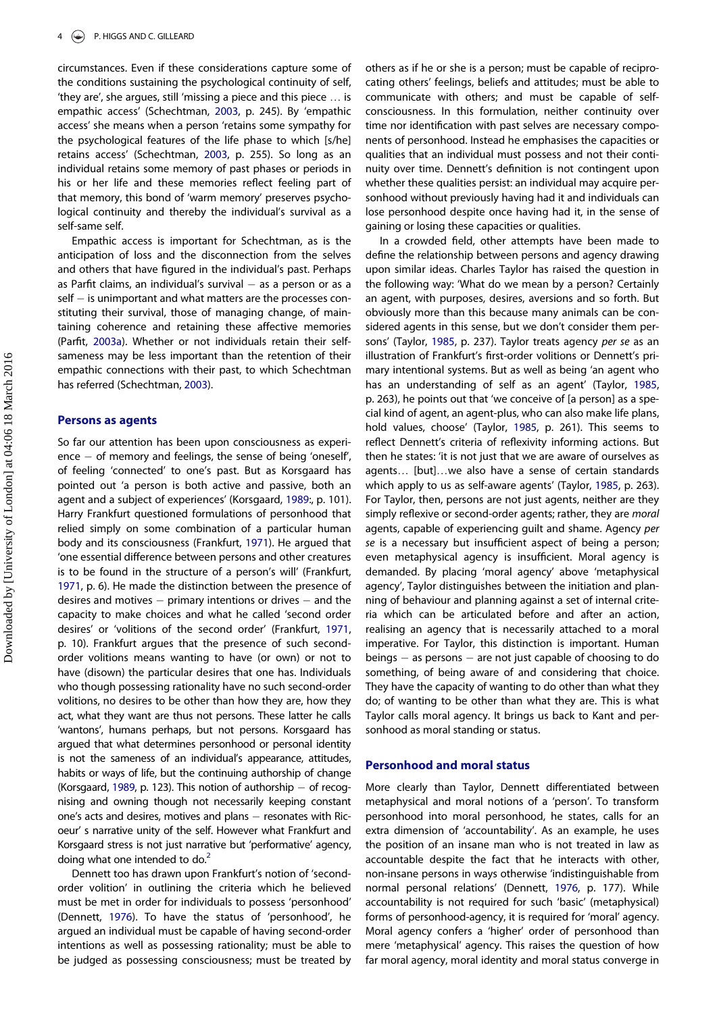circumstances. Even if these considerations capture some of the conditions sustaining the psychological continuity of self, 'they are', she argues, still 'missing a piece and this piece … is empathic access' (Schechtman, [2003,](#page-8-7) p. 245). By 'empathic access' she means when a person 'retains some sympathy for the psychological features of the life phase to which [s/he] retains access' (Schechtman, [2003,](#page-8-7) p. 255). So long as an individual retains some memory of past phases or periods in his or her life and these memories reflect feeling part of that memory, this bond of 'warm memory' preserves psychological continuity and thereby the individual's survival as a self-same self.

Empathic access is important for Schechtman, as is the anticipation of loss and the disconnection from the selves and others that have figured in the individual's past. Perhaps as Parfit claims, an individual's survival  $-$  as a person or as a  $self - is unimportant and what matters are the processes con$ stituting their survival, those of managing change, of maintaining coherence and retaining these affective memories (Parfit, [2003a](#page-7-36)). Whether or not individuals retain their selfsameness may be less important than the retention of their empathic connections with their past, to which Schechtman has referred (Schechtman, [2003](#page-8-7)).

#### <span id="page-4-3"></span>Persons as agents

<span id="page-4-4"></span><span id="page-4-1"></span>So far our attention has been upon consciousness as experience  $-$  of memory and feelings, the sense of being 'oneself', of feeling 'connected' to one's past. But as Korsgaard has pointed out 'a person is both active and passive, both an agent and a subject of experiences' (Korsgaard, [1989:](#page-7-37), p. 101). Harry Frankfurt questioned formulations of personhood that relied simply on some combination of a particular human body and its consciousness (Frankfurt, [1971](#page-7-38)). He argued that 'one essential difference between persons and other creatures is to be found in the structure of a person's will' (Frankfurt, [1971](#page-7-38), p. 6). He made the distinction between the presence of desires and motives  $-$  primary intentions or drives  $-$  and the capacity to make choices and what he called 'second order desires' or 'volitions of the second order' (Frankfurt, [1971,](#page-7-38) p. 10). Frankfurt argues that the presence of such secondorder volitions means wanting to have (or own) or not to have (disown) the particular desires that one has. Individuals who though possessing rationality have no such second-order volitions, no desires to be other than how they are, how they act, what they want are thus not persons. These latter he calls 'wantons', humans perhaps, but not persons. Korsgaard has argued that what determines personhood or personal identity is not the sameness of an individual's appearance, attitudes, habits or ways of life, but the continuing authorship of change (Korsgaard, [1989,](#page-7-37) p. 123). This notion of authorship  $-$  of recognising and owning though not necessarily keeping constant one's acts and desires, motives and plans  $-$  resonates with Ricoeur' s narrative unity of the self. However what Frankfurt and Korsgaard stress is not just narrative but 'performative' agency, doing what one intended to do.<sup>2</sup>

<span id="page-4-2"></span><span id="page-4-0"></span>Dennett too has drawn upon Frankfurt's notion of 'secondorder volition' in outlining the criteria which he believed must be met in order for individuals to possess 'personhood' (Dennett, [1976\)](#page-7-39). To have the status of 'personhood', he argued an individual must be capable of having second-order intentions as well as possessing rationality; must be able to be judged as possessing consciousness; must be treated by

others as if he or she is a person; must be capable of reciprocating others' feelings, beliefs and attitudes; must be able to communicate with others; and must be capable of selfconsciousness. In this formulation, neither continuity over time nor identification with past selves are necessary components of personhood. Instead he emphasises the capacities or qualities that an individual must possess and not their continuity over time. Dennett's definition is not contingent upon whether these qualities persist: an individual may acquire personhood without previously having had it and individuals can lose personhood despite once having had it, in the sense of gaining or losing these capacities or qualities.

In a crowded field, other attempts have been made to define the relationship between persons and agency drawing upon similar ideas. Charles Taylor has raised the question in the following way: 'What do we mean by a person? Certainly an agent, with purposes, desires, aversions and so forth. But obviously more than this because many animals can be considered agents in this sense, but we don't consider them per-sons' (Taylor, [1985,](#page-8-8) p. 237). Taylor treats agency per se as an illustration of Frankfurt's first-order volitions or Dennett's primary intentional systems. But as well as being 'an agent who has an understanding of self as an agent' (Taylor, [1985,](#page-8-8) p. 263), he points out that 'we conceive of [a person] as a special kind of agent, an agent-plus, who can also make life plans, hold values, choose' (Taylor, [1985,](#page-8-8) p. 261). This seems to reflect Dennett's criteria of reflexivity informing actions. But then he states: 'it is not just that we are aware of ourselves as agents… [but]…we also have a sense of certain standards which apply to us as self-aware agents' (Taylor, [1985,](#page-8-8) p. 263). For Taylor, then, persons are not just agents, neither are they simply reflexive or second-order agents; rather, they are moral agents, capable of experiencing guilt and shame. Agency per se is a necessary but insufficient aspect of being a person; even metaphysical agency is insufficient. Moral agency is demanded. By placing 'moral agency' above 'metaphysical agency', Taylor distinguishes between the initiation and planning of behaviour and planning against a set of internal criteria which can be articulated before and after an action, realising an agency that is necessarily attached to a moral imperative. For Taylor, this distinction is important. Human beings  $-$  as persons  $-$  are not just capable of choosing to do something, of being aware of and considering that choice. They have the capacity of wanting to do other than what they do; of wanting to be other than what they are. This is what Taylor calls moral agency. It brings us back to Kant and personhood as moral standing or status.

#### Personhood and moral status

More clearly than Taylor, Dennett differentiated between metaphysical and moral notions of a 'person'. To transform personhood into moral personhood, he states, calls for an extra dimension of 'accountability'. As an example, he uses the position of an insane man who is not treated in law as accountable despite the fact that he interacts with other, non-insane persons in ways otherwise 'indistinguishable from normal personal relations' (Dennett, [1976,](#page-7-39) p. 177). While accountability is not required for such 'basic' (metaphysical) forms of personhood-agency, it is required for 'moral' agency. Moral agency confers a 'higher' order of personhood than mere 'metaphysical' agency. This raises the question of how far moral agency, moral identity and moral status converge in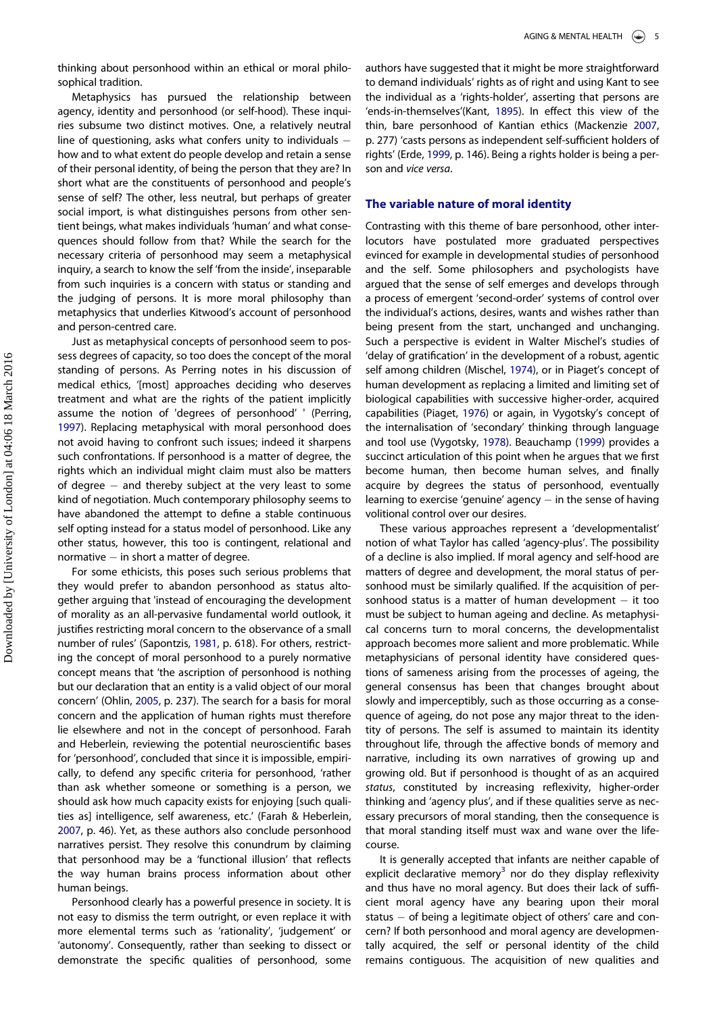thinking about personhood within an ethical or moral philosophical tradition.

<span id="page-5-2"></span><span id="page-5-0"></span>Metaphysics has pursued the relationship between agency, identity and personhood (or self-hood). These inquiries subsume two distinct motives. One, a relatively neutral line of questioning, asks what confers unity to individuals  $$ how and to what extent do people develop and retain a sense of their personal identity, of being the person that they are? In short what are the constituents of personhood and people's sense of self? The other, less neutral, but perhaps of greater social import, is what distinguishes persons from other sentient beings, what makes individuals 'human' and what consequences should follow from that? While the search for the necessary criteria of personhood may seem a metaphysical inquiry, a search to know the self 'from the inside', inseparable from such inquiries is a concern with status or standing and the judging of persons. It is more moral philosophy than metaphysics that underlies Kitwood's account of personhood and person-centred care.

<span id="page-5-6"></span><span id="page-5-5"></span><span id="page-5-4"></span><span id="page-5-3"></span>Just as metaphysical concepts of personhood seem to possess degrees of capacity, so too does the concept of the moral standing of persons. As Perring notes in his discussion of medical ethics, '[most] approaches deciding who deserves treatment and what are the rights of the patient implicitly assume the notion of 'degrees of personhood' ' (Perring, [1997](#page-7-40)). Replacing metaphysical with moral personhood does not avoid having to confront such issues; indeed it sharpens such confrontations. If personhood is a matter of degree, the rights which an individual might claim must also be matters of degree  $-$  and thereby subject at the very least to some kind of negotiation. Much contemporary philosophy seems to have abandoned the attempt to define a stable continuous self opting instead for a status model of personhood. Like any other status, however, this too is contingent, relational and normative  $-$  in short a matter of degree.

For some ethicists, this poses such serious problems that they would prefer to abandon personhood as status altogether arguing that 'instead of encouraging the development of morality as an all-pervasive fundamental world outlook, it justifies restricting moral concern to the observance of a small number of rules' (Sapontzis, [1981](#page-8-3), p. 618). For others, restricting the concept of moral personhood to a purely normative concept means that 'the ascription of personhood is nothing but our declaration that an entity is a valid object of our moral concern' (Ohlin, [2005,](#page-7-24) p. 237). The search for a basis for moral concern and the application of human rights must therefore lie elsewhere and not in the concept of personhood. Farah and Heberlein, reviewing the potential neuroscientific bases for 'personhood', concluded that since it is impossible, empirically, to defend any specific criteria for personhood, 'rather than ask whether someone or something is a person, we should ask how much capacity exists for enjoying [such qualities as] intelligence, self awareness, etc.' (Farah & Heberlein, [2007](#page-7-41), p. 46). Yet, as these authors also conclude personhood narratives persist. They resolve this conundrum by claiming that personhood may be a 'functional illusion' that reflects the way human brains process information about other human beings.

<span id="page-5-1"></span>Personhood clearly has a powerful presence in society. It is not easy to dismiss the term outright, or even replace it with more elemental terms such as 'rationality', 'judgement' or 'autonomy'. Consequently, rather than seeking to dissect or demonstrate the specific qualities of personhood, some

authors have suggested that it might be more straightforward to demand individuals' rights as of right and using Kant to see the individual as a 'rights-holder', asserting that persons are 'ends-in-themselves'(Kant, [1895\)](#page-7-42). In effect this view of the thin, bare personhood of Kantian ethics (Mackenzie [2007,](#page-7-43) p. 277) 'casts persons as independent self-sufficient holders of rights' (Erde, [1999,](#page-7-44) p. 146). Being a rights holder is being a person and vice versa.

#### The variable nature of moral identity

Contrasting with this theme of bare personhood, other interlocutors have postulated more graduated perspectives evinced for example in developmental studies of personhood and the self. Some philosophers and psychologists have argued that the sense of self emerges and develops through a process of emergent 'second-order' systems of control over the individual's actions, desires, wants and wishes rather than being present from the start, unchanged and unchanging. Such a perspective is evident in Walter Mischel's studies of 'delay of gratification' in the development of a robust, agentic self among children (Mischel, [1974\)](#page-7-45), or in Piaget's concept of human development as replacing a limited and limiting set of biological capabilities with successive higher-order, acquired capabilities (Piaget, [1976](#page-7-46)) or again, in Vygotsky's concept of the internalisation of 'secondary' thinking through language and tool use (Vygotsky, [1978](#page-8-9)). Beauchamp [\(1999\)](#page-7-15) provides a succinct articulation of this point when he argues that we first become human, then become human selves, and finally acquire by degrees the status of personhood, eventually learning to exercise 'genuine' agency  $-$  in the sense of having volitional control over our desires.

These various approaches represent a 'developmentalist' notion of what Taylor has called 'agency-plus'. The possibility of a decline is also implied. If moral agency and self-hood are matters of degree and development, the moral status of personhood must be similarly qualified. If the acquisition of personhood status is a matter of human development  $-$  it too must be subject to human ageing and decline. As metaphysical concerns turn to moral concerns, the developmentalist approach becomes more salient and more problematic. While metaphysicians of personal identity have considered questions of sameness arising from the processes of ageing, the general consensus has been that changes brought about slowly and imperceptibly, such as those occurring as a consequence of ageing, do not pose any major threat to the identity of persons. The self is assumed to maintain its identity throughout life, through the affective bonds of memory and narrative, including its own narratives of growing up and growing old. But if personhood is thought of as an acquired status, constituted by increasing reflexivity, higher-order thinking and 'agency plus', and if these qualities serve as necessary precursors of moral standing, then the consequence is that moral standing itself must wax and wane over the lifecourse.

It is generally accepted that infants are neither capable of explicit declarative memory<sup>[3](#page-7-47)</sup> nor do they display reflexivity and thus have no moral agency. But does their lack of sufficient moral agency have any bearing upon their moral status  $-$  of being a legitimate object of others' care and concern? If both personhood and moral agency are developmentally acquired, the self or personal identity of the child remains contiguous. The acquisition of new qualities and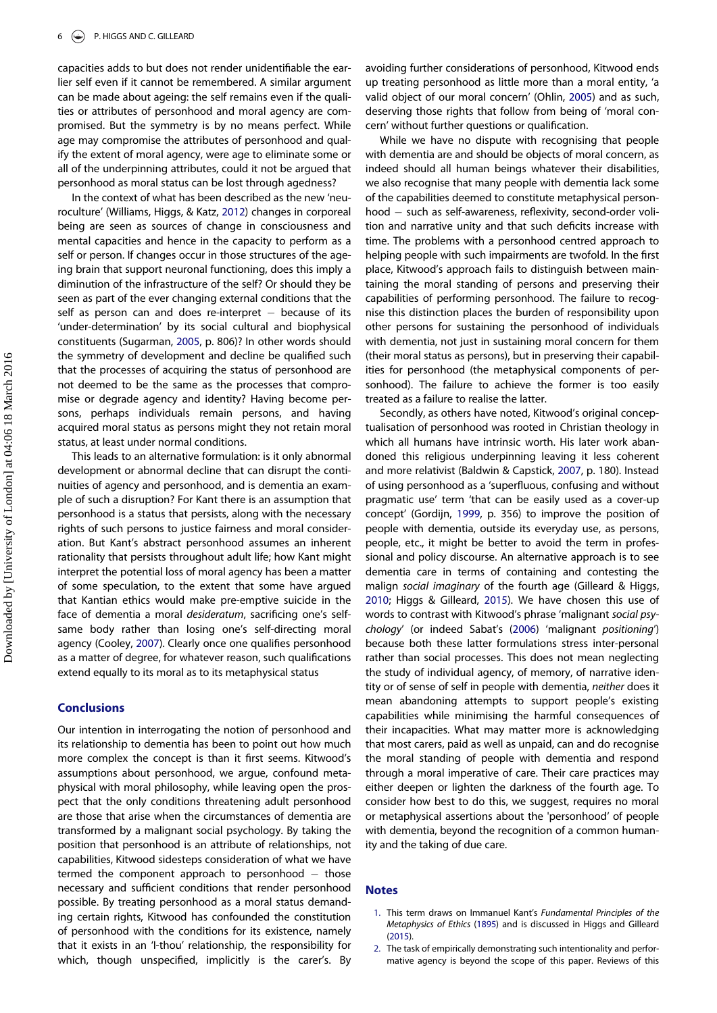capacities adds to but does not render unidentifiable the earlier self even if it cannot be remembered. A similar argument can be made about ageing: the self remains even if the qualities or attributes of personhood and moral agency are compromised. But the symmetry is by no means perfect. While age may compromise the attributes of personhood and qualify the extent of moral agency, were age to eliminate some or all of the underpinning attributes, could it not be argued that personhood as moral status can be lost through agedness?

<span id="page-6-7"></span>In the context of what has been described as the new 'neuroculture' (Williams, Higgs, & Katz, [2012\)](#page-8-10) changes in corporeal being are seen as sources of change in consciousness and mental capacities and hence in the capacity to perform as a self or person. If changes occur in those structures of the ageing brain that support neuronal functioning, does this imply a diminution of the infrastructure of the self? Or should they be seen as part of the ever changing external conditions that the self as person can and does re-interpret  $-$  because of its 'under-determination' by its social cultural and biophysical constituents (Sugarman, [2005,](#page-8-11) p. 806)? In other words should the symmetry of development and decline be qualified such that the processes of acquiring the status of personhood are not deemed to be the same as the processes that compromise or degrade agency and identity? Having become persons, perhaps individuals remain persons, and having acquired moral status as persons might they not retain moral status, at least under normal conditions.

<span id="page-6-6"></span>This leads to an alternative formulation: is it only abnormal development or abnormal decline that can disrupt the continuities of agency and personhood, and is dementia an example of such a disruption? For Kant there is an assumption that personhood is a status that persists, along with the necessary rights of such persons to justice fairness and moral consideration. But Kant's abstract personhood assumes an inherent rationality that persists throughout adult life; how Kant might interpret the potential loss of moral agency has been a matter of some speculation, to the extent that some have argued that Kantian ethics would make pre-emptive suicide in the face of dementia a moral desideratum, sacrificing one's selfsame body rather than losing one's self-directing moral agency (Cooley, [2007](#page-7-48)). Clearly once one qualifies personhood as a matter of degree, for whatever reason, such qualifications extend equally to its moral as to its metaphysical status

#### <span id="page-6-5"></span><span id="page-6-3"></span><span id="page-6-2"></span>**Conclusions**

<span id="page-6-4"></span><span id="page-6-1"></span><span id="page-6-0"></span>Our intention in interrogating the notion of personhood and its relationship to dementia has been to point out how much more complex the concept is than it first seems. Kitwood's assumptions about personhood, we argue, confound metaphysical with moral philosophy, while leaving open the prospect that the only conditions threatening adult personhood are those that arise when the circumstances of dementia are transformed by a malignant social psychology. By taking the position that personhood is an attribute of relationships, not capabilities, Kitwood sidesteps consideration of what we have termed the component approach to personhood  $-$  those necessary and sufficient conditions that render personhood possible. By treating personhood as a moral status demanding certain rights, Kitwood has confounded the constitution of personhood with the conditions for its existence, namely that it exists in an 'I-thou' relationship, the responsibility for which, though unspecified, implicitly is the carer's. By

avoiding further considerations of personhood, Kitwood ends up treating personhood as little more than a moral entity, 'a valid object of our moral concern' (Ohlin, [2005\)](#page-7-24) and as such, deserving those rights that follow from being of 'moral concern' without further questions or qualification.

While we have no dispute with recognising that people with dementia are and should be objects of moral concern, as indeed should all human beings whatever their disabilities, we also recognise that many people with dementia lack some of the capabilities deemed to constitute metaphysical person $hood - such$  as self-awareness, reflexivity, second-order volition and narrative unity and that such deficits increase with time. The problems with a personhood centred approach to helping people with such impairments are twofold. In the first place, Kitwood's approach fails to distinguish between maintaining the moral standing of persons and preserving their capabilities of performing personhood. The failure to recognise this distinction places the burden of responsibility upon other persons for sustaining the personhood of individuals with dementia, not just in sustaining moral concern for them (their moral status as persons), but in preserving their capabilities for personhood (the metaphysical components of personhood). The failure to achieve the former is too easily treated as a failure to realise the latter.

Secondly, as others have noted, Kitwood's original conceptualisation of personhood was rooted in Christian theology in which all humans have intrinsic worth. His later work abandoned this religious underpinning leaving it less coherent and more relativist (Baldwin & Capstick, [2007,](#page-7-11) p. 180). Instead of using personhood as a 'superfluous, confusing and without pragmatic use' term 'that can be easily used as a cover-up concept' (Gordijn, [1999,](#page-7-16) p. 356) to improve the position of people with dementia, outside its everyday use, as persons, people, etc., it might be better to avoid the term in professional and policy discourse. An alternative approach is to see dementia care in terms of containing and contesting the malign social imaginary of the fourth age (Gilleard & Higgs, [2010;](#page-7-49) Higgs & Gilleard, [2015\)](#page-7-50). We have chosen this use of words to contrast with Kitwood's phrase 'malignant social psychology' (or indeed Sabat's ([2006](#page-7-51)) 'malignant positioning') because both these latter formulations stress inter-personal rather than social processes. This does not mean neglecting the study of individual agency, of memory, of narrative identity or of sense of self in people with dementia, neither does it mean abandoning attempts to support people's existing capabilities while minimising the harmful consequences of their incapacities. What may matter more is acknowledging that most carers, paid as well as unpaid, can and do recognise the moral standing of people with dementia and respond through a moral imperative of care. Their care practices may either deepen or lighten the darkness of the fourth age. To consider how best to do this, we suggest, requires no moral or metaphysical assertions about the 'personhood' of people with dementia, beyond the recognition of a common humanity and the taking of due care.

#### **Notes**

- 1. This term draws on Immanuel Kant's Fundamental Principles of the Metaphysics of Ethics ([1895](#page-7-42)) and is discussed in Higgs and Gilleard  $(2015)$
- 2. The task of empirically demonstrating such intentionality and performative agency is beyond the scope of this paper. Reviews of this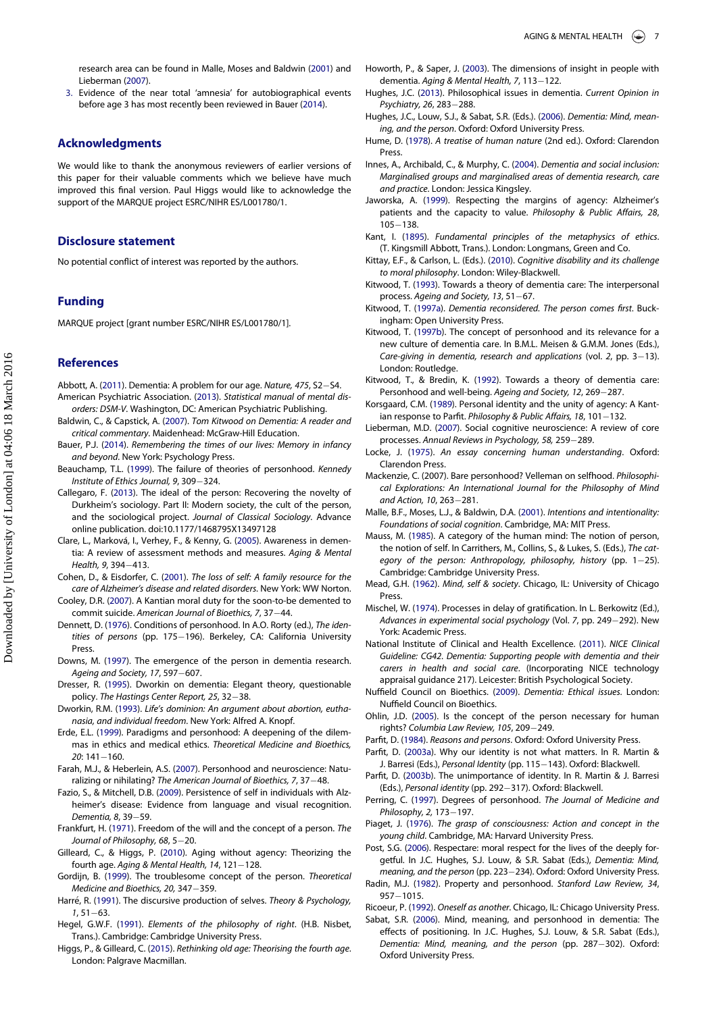research area can be found in Malle, Moses and Baldwin [\(2001](#page-7-33)) and Lieberman ([2007](#page-7-52)).

<span id="page-7-55"></span><span id="page-7-54"></span><span id="page-7-47"></span><span id="page-7-17"></span><span id="page-7-7"></span>3. Evidence of the near total 'amnesia' for autobiographical events before age 3 has most recently been reviewed in Bauer ([2014\)](#page-7-53).

#### <span id="page-7-27"></span><span id="page-7-18"></span>Acknowledgments

<span id="page-7-21"></span><span id="page-7-14"></span>We would like to thank the anonymous reviewers of earlier versions of this paper for their valuable comments which we believe have much improved this final version. Paul Higgs would like to acknowledge the support of the MARQUE project ESRC/NIHR ES/L001780/1.

#### <span id="page-7-42"></span>Disclosure statement

<span id="page-7-22"></span>No potential conflict of interest was reported by the authors.

#### <span id="page-7-12"></span><span id="page-7-4"></span>Funding

<span id="page-7-5"></span>MARQUE project [grant number ESRC/NIHR ES/L001780/1].

#### References

- <span id="page-7-13"></span><span id="page-7-0"></span>Abbott, A. [\(2011](#page-1-0)). Dementia: A problem for our age. Nature, 475, S2-S4.
- <span id="page-7-37"></span><span id="page-7-1"></span>American Psychiatric Association. ([2013\)](#page-1-1). Statistical manual of mental disorders: DSM-V. Washington, DC: American Psychiatric Publishing.
- <span id="page-7-52"></span><span id="page-7-11"></span>Baldwin, C., & Capstick, A. [\(2007](#page-1-2)). Tom Kitwood on Dementia: A reader and critical commentary. Maidenhead: McGraw-Hill Education.
- <span id="page-7-53"></span><span id="page-7-26"></span>Bauer, P.J. ([2014\)](#page-7-54). Remembering the times of our lives: Memory in infancy and beyond. New York: Psychology Press.
- <span id="page-7-43"></span><span id="page-7-15"></span>Beauchamp, T.L. ([1999](#page-2-0)). The failure of theories of personhood. Kennedy Institute of Ethics Journal, 9, 309-324.
- <span id="page-7-35"></span><span id="page-7-33"></span>Callegaro, F. [\(2013](#page-3-0)). The ideal of the person: Recovering the novelty of Durkheim's sociology. Part II: Modern society, the cult of the person, and the sociological project. Journal of Classical Sociology. Advance online publication. doi:10.1177/1468795X13497128
- <span id="page-7-34"></span><span id="page-7-8"></span>Clare, L., Marková, I., Verhey, F., & Kenny, G. ([2005](#page-1-3)). Awareness in dementia: A review of assessment methods and measures. Aging & Mental Health, 9, 394-413.
- <span id="page-7-2"></span>Cohen, D., & Eisdorfer, C. [\(2001\)](#page-1-4). The loss of self: A family resource for the care of Alzheimer's disease and related disorders. New York: WW Norton.
- <span id="page-7-48"></span><span id="page-7-45"></span>Cooley, D.R. [\(2007](#page-6-2)). A Kantian moral duty for the soon-to-be demented to commit suicide. American Journal of Bioethics, 7, 37-44.
- <span id="page-7-39"></span><span id="page-7-9"></span>Dennett, D. [\(1976\)](#page-4-0). Conditions of personhood. In A.O. Rorty (ed.), The identities of persons (pp. 175-196). Berkeley, CA: California University Press.
- <span id="page-7-3"></span>Downs, M. ([1997\)](#page-1-5). The emergence of the person in dementia research. Ageing and Society, 17, 597-607.
- <span id="page-7-19"></span><span id="page-7-10"></span>Dresser, R. [\(1995](#page-2-1)). Dworkin on dementia: Elegant theory, questionable policy. The Hastings Center Report, 25, 32-38.
- <span id="page-7-24"></span><span id="page-7-20"></span>Dworkin, R.M. ([1993](#page-2-1)). Life's dominion: An argument about abortion, euthanasia, and individual freedom. New York: Alfred A. Knopf.
- <span id="page-7-44"></span><span id="page-7-36"></span><span id="page-7-31"></span>Erde, E.L. [\(1999\)](#page-5-0). Paradigms and personhood: A deepening of the dilemmas in ethics and medical ethics. Theoretical Medicine and Bioethics,  $20:141-160.$
- <span id="page-7-41"></span><span id="page-7-25"></span>Farah, M.J., & Heberlein, A.S. ([2007](#page-5-1)). Personhood and neuroscience: Naturalizing or nihilating? The American Journal of Bioethics, 7, 37-48.
- <span id="page-7-40"></span><span id="page-7-6"></span>Fazio, S., & Mitchell, D.B. [\(2009](#page-1-6)). Persistence of self in individuals with Alzheimer's disease: Evidence from language and visual recognition. Dementia, 8, 39-59.
- <span id="page-7-46"></span><span id="page-7-38"></span>Frankfurt, H. ([1971\)](#page-4-1). Freedom of the will and the concept of a person. The Journal of Philosophy, 68, 5-20.
- <span id="page-7-49"></span><span id="page-7-23"></span>Gilleard, C., & Higgs, P. [\(2010\)](#page-6-3). Aging without agency: Theorizing the fourth age. Aging & Mental Health,  $14$ ,  $121-128$ .
- <span id="page-7-28"></span><span id="page-7-16"></span>Gordijn, B. [\(1999](#page-2-2)). The troublesome concept of the person. Theoretical Medicine and Bioethics, 20, 347-359.
- <span id="page-7-32"></span><span id="page-7-30"></span>Harré, R. [\(1991](#page-3-1)). The discursive production of selves. Theory & Psychology,  $1, 51 - 63.$
- <span id="page-7-51"></span><span id="page-7-29"></span>Hegel, G.W.F. [\(1991](#page-3-2)). Elements of the philosophy of right. (H.B. Nisbet, Trans.). Cambridge: Cambridge University Press.
- <span id="page-7-50"></span>Higgs, P., & Gilleard, C. ([2015](#page-6-4)). Rethinking old age: Theorising the fourth age. London: Palgrave Macmillan.
- Howorth, P., & Saper, J. [\(2003](#page-1-3)). The dimensions of insight in people with dementia. Aging & Mental Health, 7, 113-122.
- Hughes, J.C. [\(2013](#page-2-3)). Philosophical issues in dementia. Current Opinion in Psychiatry, 26, 283-288.
- Hughes, J.C., Louw, S.J., & Sabat, S.R. (Eds.). [\(2006\)](#page-2-3). Dementia: Mind, meaning, and the person. Oxford: Oxford University Press.
- Hume, D. [\(1978](#page-3-3)). A treatise of human nature (2nd ed.). Oxford: Clarendon Press.
- Innes, A., Archibald, C., & Murphy, C. [\(2004\)](#page-1-7). Dementia and social inclusion: Marginalised groups and marginalised areas of dementia research, care and practice. London: Jessica Kingsley.
- Jaworska, A. ([1999\)](#page-2-1). Respecting the margins of agency: Alzheimer's patients and the capacity to value. Philosophy & Public Affairs, 28,  $105 - 138$
- Kant, I. [\(1895](#page-5-2)). Fundamental principles of the metaphysics of ethics. (T. Kingsmill Abbott, Trans.). London: Longmans, Green and Co.
- Kittay, E.F., & Carlson, L. (Eds.). ([2010\)](#page-2-4). Cognitive disability and its challenge to moral philosophy. London: Wiley-Blackwell.
- Kitwood, T. [\(1993](#page-1-8)). Towards a theory of dementia care: The interpersonal process. Ageing and Society, 13, 51-67.
- Kitwood, T. [\(1997a](#page-1-9)). Dementia reconsidered. The person comes first. Buckingham: Open University Press.
- Kitwood, T. [\(1997b\)](#page-1-5). The concept of personhood and its relevance for a new culture of dementia care. In B.M.L. Meisen & G.M.M. Jones (Eds.), Care-giving in dementia, research and applications (vol. 2, pp.  $3-13$ ). London: Routledge.
- Kitwood, T., & Bredin, K. [\(1992](#page-1-10)). Towards a theory of dementia care: Personhood and well-being. Ageing and Society, 12, 269-287.
- Korsgaard, C.M. [\(1989](#page-4-2)). Personal identity and the unity of agency: A Kantian response to Parfit. Philosophy & Public Affairs, 18, 101-132.
- Lieberman, M.D. [\(2007\)](#page-7-55). Social cognitive neuroscience: A review of core processes. Annual Reviews in Psychology, 58, 259-289.
- Locke, J. [\(1975](#page-3-4)). An essay concerning human understanding. Oxford: Clarendon Press.
- Mackenzie, C. (2007). Bare personhood? Velleman on selfhood. Philosophical Explorations: An International Journal for the Philosophy of Mind and Action,  $10, 263 - 281$ .
- Malle, B.F., Moses, L.J., & Baldwin, D.A. ([2001\)](#page-3-5). Intentions and intentionality: Foundations of social cognition. Cambridge, MA: MIT Press.
- Mauss, M. ([1985\)](#page-3-5). A category of the human mind: The notion of person, the notion of self. In Carrithers, M., Collins, S., & Lukes, S. (Eds.), The category of the person: Anthropology, philosophy, history (pp.  $1-25$ ). Cambridge: Cambridge University Press.
- Mead, G.H. (1962). Mind, self & society. Chicago, IL: University of Chicago Press.
- Mischel, W. ([1974](#page-5-3)). Processes in delay of gratification. In L. Berkowitz (Ed.), Advances in experimental social psychology (Vol. 7, pp. 249-292). New York: Academic Press.
- National Institute of Clinical and Health Excellence. [\(2011](#page-1-11)). NICE Clinical Guideline: CG42. Dementia: Supporting people with dementia and their carers in health and social care. (Incorporating NICE technology appraisal guidance 217). Leicester: British Psychological Society.
- Nuffield Council on Bioethics. ([2009\)](#page-1-12). Dementia: Ethical issues. London: Nuffield Council on Bioethics.
- Ohlin, J.D. [\(2005\)](#page-2-5). Is the concept of the person necessary for human rights? Columbia Law Review, 105, 209-249.
- Parfit, D. [\(1984\)](#page-3-6). Reasons and persons. Oxford: Oxford University Press.
- Parfit, D. [\(2003a](#page-4-3)). Why our identity is not what matters. In R. Martin & J. Barresi (Eds.), Personal Identity (pp. 115-143). Oxford: Blackwell.
- Parfit, D. [\(2003b\)](#page-2-6). The unimportance of identity. In R. Martin & J. Barresi (Eds.), Personal identity (pp. 292-317). Oxford: Blackwell.
- Perring, C. ([1997](#page-5-4)). Degrees of personhood. The Journal of Medicine and Philosophy, 2, 173-197.
- Piaget, J. ([1976\)](#page-5-5). The grasp of consciousness: Action and concept in the young child. Cambridge, MA: Harvard University Press.
- Post, S.G. [\(2006](#page-2-4)). Respectare: moral respect for the lives of the deeply forgetful. In J.C. Hughes, S.J. Louw, & S.R. Sabat (Eds.), Dementia: Mind, meaning, and the person (pp. 223-234). Oxford: Oxford University Press.
- Radin, M.J. ([1982\)](#page-3-7). Property and personhood. Stanford Law Review, 34,  $957 - 1015$ .
- Ricoeur, P. ([1992\)](#page-3-8). Oneself as another. Chicago, IL: Chicago University Press.
- Sabat, S.R. [\(2006](#page-6-5)). Mind, meaning, and personhood in dementia: The effects of positioning. In J.C. Hughes, S.J. Louw, & S.R. Sabat (Eds.), Dementia: Mind, meaning, and the person (pp. 287-302). Oxford: Oxford University Press.